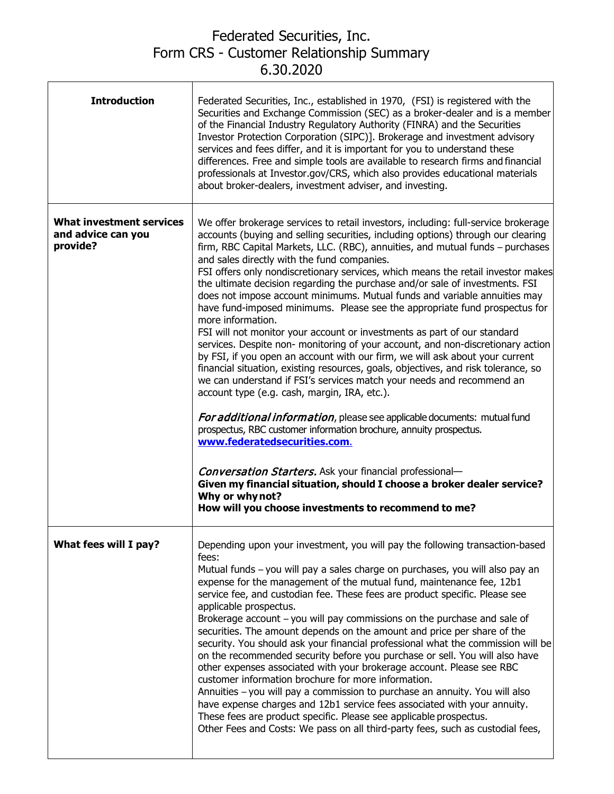## Federated Securities, Inc. Form CRS - Customer Relationship Summary 6.30.2020

Ï

| <b>Introduction</b>                                        | Federated Securities, Inc., established in 1970, (FSI) is registered with the<br>Securities and Exchange Commission (SEC) as a broker-dealer and is a member<br>of the Financial Industry Regulatory Authority (FINRA) and the Securities<br>Investor Protection Corporation (SIPC)]. Brokerage and investment advisory<br>services and fees differ, and it is important for you to understand these<br>differences. Free and simple tools are available to research firms and financial<br>professionals at Investor.gov/CRS, which also provides educational materials<br>about broker-dealers, investment adviser, and investing.                                                                                                                                                                                                                                                                                                                                                                                                                                                                                                                                                                                                                                                                                                                                                                                                                                                                                              |
|------------------------------------------------------------|-----------------------------------------------------------------------------------------------------------------------------------------------------------------------------------------------------------------------------------------------------------------------------------------------------------------------------------------------------------------------------------------------------------------------------------------------------------------------------------------------------------------------------------------------------------------------------------------------------------------------------------------------------------------------------------------------------------------------------------------------------------------------------------------------------------------------------------------------------------------------------------------------------------------------------------------------------------------------------------------------------------------------------------------------------------------------------------------------------------------------------------------------------------------------------------------------------------------------------------------------------------------------------------------------------------------------------------------------------------------------------------------------------------------------------------------------------------------------------------------------------------------------------------|
| What investment services<br>and advice can you<br>provide? | We offer brokerage services to retail investors, including: full-service brokerage<br>accounts (buying and selling securities, including options) through our clearing<br>firm, RBC Capital Markets, LLC. (RBC), annuities, and mutual funds - purchases<br>and sales directly with the fund companies.<br>FSI offers only nondiscretionary services, which means the retail investor makes<br>the ultimate decision regarding the purchase and/or sale of investments. FSI<br>does not impose account minimums. Mutual funds and variable annuities may<br>have fund-imposed minimums. Please see the appropriate fund prospectus for<br>more information.<br>FSI will not monitor your account or investments as part of our standard<br>services. Despite non- monitoring of your account, and non-discretionary action<br>by FSI, if you open an account with our firm, we will ask about your current<br>financial situation, existing resources, goals, objectives, and risk tolerance, so<br>we can understand if FSI's services match your needs and recommend an<br>account type (e.g. cash, margin, IRA, etc.).<br>For additional information, please see applicable documents: mutual fund<br>prospectus, RBC customer information brochure, annuity prospectus.<br>www.federatedsecurities.com.<br><b>Conversation Starters.</b> Ask your financial professional-<br>Given my financial situation, should I choose a broker dealer service?<br>Why or why not?<br>How will you choose investments to recommend to me? |
| What fees will I pay?                                      | Depending upon your investment, you will pay the following transaction-based<br>fees:<br>Mutual funds - you will pay a sales charge on purchases, you will also pay an<br>expense for the management of the mutual fund, maintenance fee, 12b1<br>service fee, and custodian fee. These fees are product specific. Please see<br>applicable prospectus.<br>Brokerage account – you will pay commissions on the purchase and sale of<br>securities. The amount depends on the amount and price per share of the<br>security. You should ask your financial professional what the commission will be<br>on the recommended security before you purchase or sell. You will also have<br>other expenses associated with your brokerage account. Please see RBC<br>customer information brochure for more information.<br>Annuities - you will pay a commission to purchase an annuity. You will also<br>have expense charges and 12b1 service fees associated with your annuity.<br>These fees are product specific. Please see applicable prospectus.<br>Other Fees and Costs: We pass on all third-party fees, such as custodial fees,                                                                                                                                                                                                                                                                                                                                                                                              |